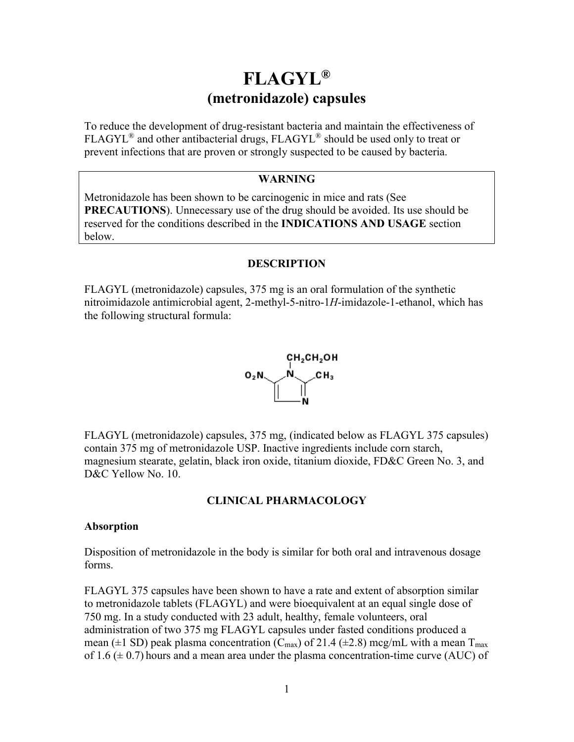# **FLAGYL® (metronidazole) capsules**

To reduce the development of drug-resistant bacteria and maintain the effectiveness of FLAGYL® and other antibacterial drugs, FLAGYL® should be used only to treat or prevent infections that are proven or strongly suspected to be caused by bacteria.

## **WARNING**

Metronidazole has been shown to be carcinogenic in mice and rats (See **PRECAUTIONS**). Unnecessary use of the drug should be avoided. Its use should be reserved for the conditions described in the **INDICATIONS AND USAGE** section below.

#### **DESCRIPTION**

FLAGYL (metronidazole) capsules, 375 mg is an oral formulation of the synthetic nitroimidazole antimicrobial agent, 2-methyl-5-nitro-1*H*-imidazole-1-ethanol, which has the following structural formula:



FLAGYL (metronidazole) capsules, 375 mg, (indicated below as FLAGYL 375 capsules) contain 375 mg of metronidazole USP. Inactive ingredients include corn starch, magnesium stearate, gelatin, black iron oxide, titanium dioxide, FD&C Green No. 3, and D&C Yellow No. 10.

#### **CLINICAL PHARMACOLOGY**

#### **Absorption**

Disposition of metronidazole in the body is similar for both oral and intravenous dosage forms.

FLAGYL 375 capsules have been shown to have a rate and extent of absorption similar to metronidazole tablets (FLAGYL) and were bioequivalent at an equal single dose of 750 mg. In a study conducted with 23 adult, healthy, female volunteers, oral administration of two 375 mg FLAGYL capsules under fasted conditions produced a mean ( $\pm$ 1 SD) peak plasma concentration (C<sub>max</sub>) of 21.4 ( $\pm$ 2.8) mcg/mL with a mean T<sub>max</sub> of 1.6  $(\pm 0.7)$  hours and a mean area under the plasma concentration-time curve (AUC) of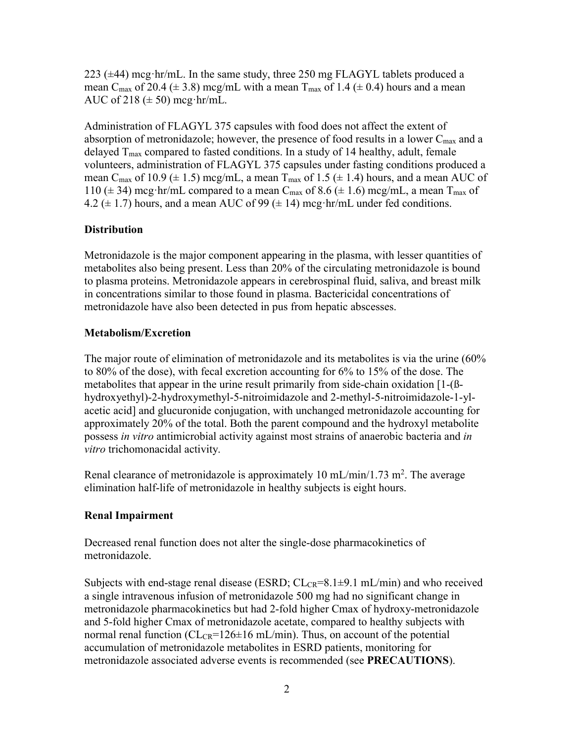223 (±44) mcg·hr/mL. In the same study, three 250 mg FLAGYL tablets produced a mean C<sub>max</sub> of 20.4 ( $\pm$  3.8) mcg/mL with a mean T<sub>max</sub> of 1.4 ( $\pm$  0.4) hours and a mean AUC of 218  $(\pm 50)$  mcg·hr/mL.

Administration of FLAGYL 375 capsules with food does not affect the extent of absorption of metronidazole; however, the presence of food results in a lower  $C_{\text{max}}$  and a delayed  $T_{\text{max}}$  compared to fasted conditions. In a study of 14 healthy, adult, female volunteers, administration of FLAGYL 375 capsules under fasting conditions produced a mean C<sub>max</sub> of 10.9 ( $\pm$  1.5) mcg/mL, a mean T<sub>max</sub> of 1.5 ( $\pm$  1.4) hours, and a mean AUC of 110 ( $\pm$  34) mcg·hr/mL compared to a mean C<sub>max</sub> of 8.6 ( $\pm$  1.6) mcg/mL, a mean T<sub>max</sub> of 4.2 ( $\pm$  1.7) hours, and a mean AUC of 99 ( $\pm$  14) mcg·hr/mL under fed conditions.

## **Distribution**

Metronidazole is the major component appearing in the plasma, with lesser quantities of metabolites also being present. Less than 20% of the circulating metronidazole is bound to plasma proteins. Metronidazole appears in cerebrospinal fluid, saliva, and breast milk in concentrations similar to those found in plasma. Bactericidal concentrations of metronidazole have also been detected in pus from hepatic abscesses.

#### **Metabolism/Excretion**

The major route of elimination of metronidazole and its metabolites is via the urine (60% to 80% of the dose), with fecal excretion accounting for 6% to 15% of the dose. The metabolites that appear in the urine result primarily from side-chain oxidation [1-(ßhydroxyethyl)-2-hydroxymethyl-5-nitroimidazole and 2-methyl-5-nitroimidazole-1-ylacetic acid] and glucuronide conjugation, with unchanged metronidazole accounting for approximately 20% of the total. Both the parent compound and the hydroxyl metabolite possess *in vitro* antimicrobial activity against most strains of anaerobic bacteria and *in vitro* trichomonacidal activity.

Renal clearance of metronidazole is approximately 10 mL/min/1.73 m<sup>2</sup>. The average elimination half-life of metronidazole in healthy subjects is eight hours.

#### **Renal Impairment**

Decreased renal function does not alter the single-dose pharmacokinetics of metronidazole.

Subjects with end-stage renal disease (ESRD;  $CL_{CR} = 8.1 \pm 9.1$  mL/min) and who received a single intravenous infusion of metronidazole 500 mg had no significant change in metronidazole pharmacokinetics but had 2-fold higher Cmax of hydroxy-metronidazole and 5-fold higher Cmax of metronidazole acetate, compared to healthy subjects with normal renal function ( $CL_{CR}$ =126 $\pm$ 16 mL/min). Thus, on account of the potential accumulation of metronidazole metabolites in ESRD patients, monitoring for metronidazole associated adverse events is recommended (see **PRECAUTIONS**).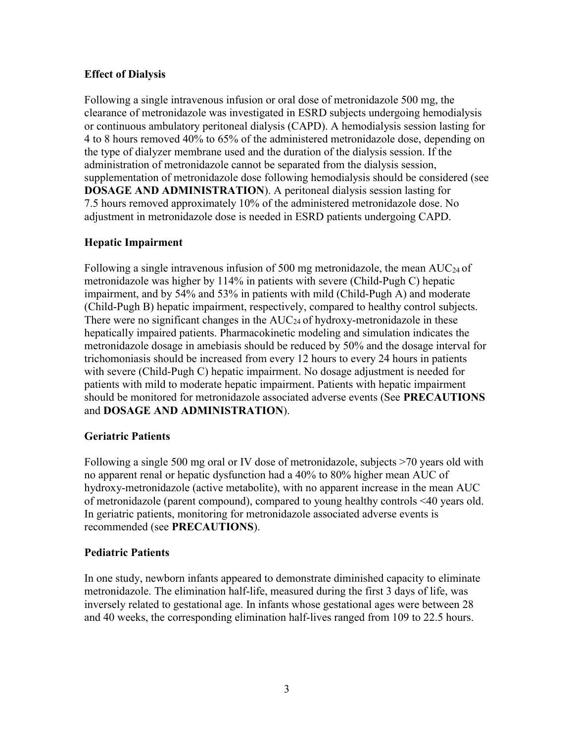# **Effect of Dialysis**

Following a single intravenous infusion or oral dose of metronidazole 500 mg, the clearance of metronidazole was investigated in ESRD subjects undergoing hemodialysis or continuous ambulatory peritoneal dialysis (CAPD). A hemodialysis session lasting for 4 to 8 hours removed 40% to 65% of the administered metronidazole dose, depending on the type of dialyzer membrane used and the duration of the dialysis session. If the administration of metronidazole cannot be separated from the dialysis session, supplementation of metronidazole dose following hemodialysis should be considered (see **DOSAGE AND ADMINISTRATION**). A peritoneal dialysis session lasting for 7.5 hours removed approximately 10% of the administered metronidazole dose. No adjustment in metronidazole dose is needed in ESRD patients undergoing CAPD.

# **Hepatic Impairment**

Following a single intravenous infusion of 500 mg metronidazole, the mean  $AUC_{24}$  of metronidazole was higher by 114% in patients with severe (Child-Pugh C) hepatic impairment, and by 54% and 53% in patients with mild (Child-Pugh A) and moderate (Child-Pugh B) hepatic impairment, respectively, compared to healthy control subjects. There were no significant changes in the  $AUC_{24}$  of hydroxy-metronidazole in these hepatically impaired patients. Pharmacokinetic modeling and simulation indicates the metronidazole dosage in amebiasis should be reduced by 50% and the dosage interval for trichomoniasis should be increased from every 12 hours to every 24 hours in patients with severe (Child-Pugh C) hepatic impairment. No dosage adjustment is needed for patients with mild to moderate hepatic impairment. Patients with hepatic impairment should be monitored for metronidazole associated adverse events (See **PRECAUTIONS**  and **DOSAGE AND ADMINISTRATION**).

# **Geriatric Patients**

Following a single 500 mg oral or IV dose of metronidazole, subjects >70 years old with no apparent renal or hepatic dysfunction had a 40% to 80% higher mean AUC of hydroxy-metronidazole (active metabolite), with no apparent increase in the mean AUC of metronidazole (parent compound), compared to young healthy controls <40 years old. In geriatric patients, monitoring for metronidazole associated adverse events is recommended (see **PRECAUTIONS**).

# **Pediatric Patients**

In one study, newborn infants appeared to demonstrate diminished capacity to eliminate metronidazole. The elimination half-life, measured during the first 3 days of life, was inversely related to gestational age. In infants whose gestational ages were between 28 and 40 weeks, the corresponding elimination half-lives ranged from 109 to 22.5 hours.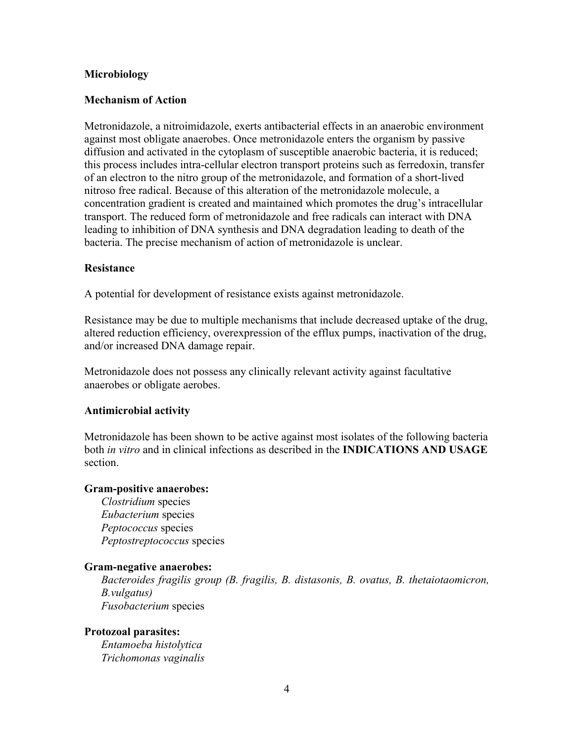#### **Microbiology**

#### **Mechanism of Action**

Metronidazole, a nitroimidazole, exerts antibacterial effects in an anaerobic environment against most obligate anaerobes. Once metronidazole enters the organism by passive diffusion and activated in the cytoplasm of susceptible anaerobic bacteria, it is reduced; this process includes intra-cellular electron transport proteins such as ferredoxin, transfer of an electron to the nitro group of the metronidazole, and formation of a short-lived nitroso free radical. Because of this alteration of the metronidazole molecule, a concentration gradient is created and maintained which promotes the drug's intracellular transport. The reduced form of metronidazole and free radicals can interact with DNA leading to inhibition of DNA synthesis and DNA degradation leading to death of the bacteria. The precise mechanism of action of metronidazole is unclear.

#### **Resistance**

A potential for development of resistance exists against metronidazole.

Resistance may be due to multiple mechanisms that include decreased uptake of the drug, altered reduction efficiency, overexpression of the efflux pumps, inactivation of the drug, and/or increased DNA damage repair.

Metronidazole does not possess any clinically relevant activity against facultative anaerobes or obligate aerobes.

#### **Antimicrobial activity**

Metronidazole has been shown to be active against most isolates of the following bacteria both *in vitro* and in clinical infections as described in the **INDICATIONS AND USAGE**  section.

#### **Gram-positive anaerobes:**

*Clostridium* species *Eubacterium* species *Peptococcus* species *Peptostreptococcus* species

#### **Gram-negative anaerobes:**

*Bacteroides fragilis group (B. fragilis, B. distasonis, B. ovatus, B. thetaiotaomicron, B.vulgatus) Fusobacterium* species

#### **Protozoal parasites:** *Entamoeba histolytica*

*Trichomonas vaginalis*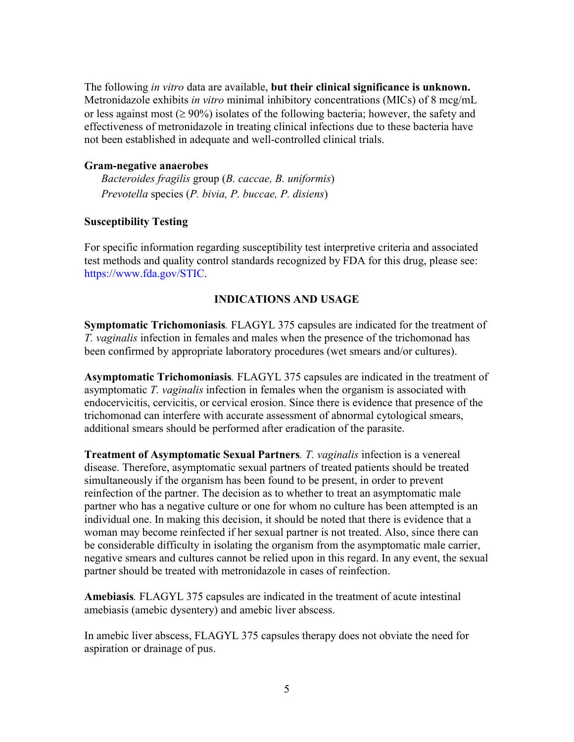The following *in vitro* data are available, **but their clinical significance is unknown.** Metronidazole exhibits *in vitro* minimal inhibitory concentrations (MICs) of 8 mcg/mL or less against most ( $\geq 90\%$ ) isolates of the following bacteria; however, the safety and effectiveness of metronidazole in treating clinical infections due to these bacteria have not been established in adequate and well-controlled clinical trials.

#### **Gram-negative anaerobes**

*Bacteroides fragilis* group (*B. caccae, B. uniformis*) *Prevotella* species (*P. bivia, P. buccae, P. disiens*)

## **Susceptibility Testing**

For specific information regarding susceptibility test interpretive criteria and associated test methods and quality control standards recognized by FDA for this drug, please see: <https://www.fda.gov/STIC>.

## **INDICATIONS AND USAGE**

**Symptomatic Trichomoniasis***.* FLAGYL 375 capsules are indicated for the treatment of *T. vaginalis* infection in females and males when the presence of the trichomonad has been confirmed by appropriate laboratory procedures (wet smears and/or cultures).

**Asymptomatic Trichomoniasis***.* FLAGYL 375 capsules are indicated in the treatment of asymptomatic *T. vaginalis* infection in females when the organism is associated with endocervicitis, cervicitis, or cervical erosion. Since there is evidence that presence of the trichomonad can interfere with accurate assessment of abnormal cytological smears, additional smears should be performed after eradication of the parasite.

**Treatment of Asymptomatic Sexual Partners***. T. vaginalis* infection is a venereal disease. Therefore, asymptomatic sexual partners of treated patients should be treated simultaneously if the organism has been found to be present, in order to prevent reinfection of the partner. The decision as to whether to treat an asymptomatic male partner who has a negative culture or one for whom no culture has been attempted is an individual one. In making this decision, it should be noted that there is evidence that a woman may become reinfected if her sexual partner is not treated. Also, since there can be considerable difficulty in isolating the organism from the asymptomatic male carrier, negative smears and cultures cannot be relied upon in this regard. In any event, the sexual partner should be treated with metronidazole in cases of reinfection.

**Amebiasis***.* FLAGYL 375 capsules are indicated in the treatment of acute intestinal amebiasis (amebic dysentery) and amebic liver abscess.

In amebic liver abscess, FLAGYL 375 capsules therapy does not obviate the need for aspiration or drainage of pus.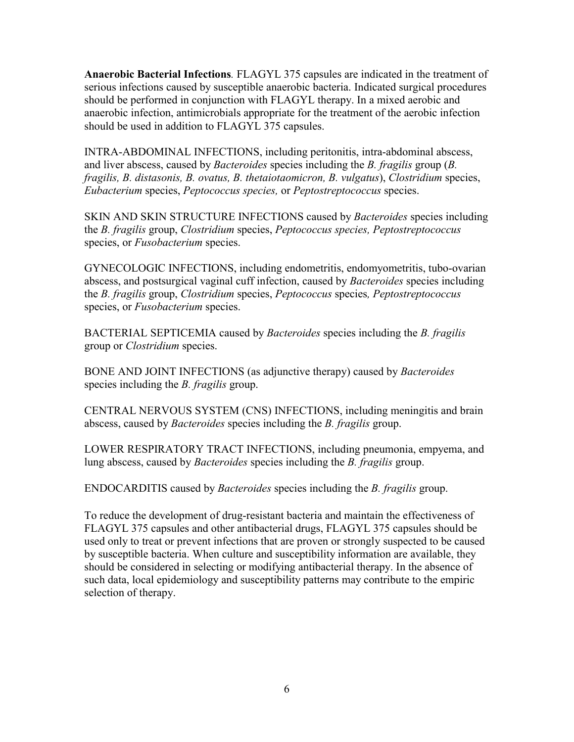**Anaerobic Bacterial Infections***.* FLAGYL 375 capsules are indicated in the treatment of serious infections caused by susceptible anaerobic bacteria. Indicated surgical procedures should be performed in conjunction with FLAGYL therapy. In a mixed aerobic and anaerobic infection, antimicrobials appropriate for the treatment of the aerobic infection should be used in addition to FLAGYL 375 capsules.

INTRA-ABDOMINAL INFECTIONS, including peritonitis, intra-abdominal abscess, and liver abscess, caused by *Bacteroides* species including the *B. fragilis* group (*B. fragilis, B. distasonis, B. ovatus, B. thetaiotaomicron, B. vulgatus*), *Clostridium* species, *Eubacterium* species, *Peptococcus species,* or *Peptostreptococcus* species.

SKIN AND SKIN STRUCTURE INFECTIONS caused by *Bacteroides* species including the *B. fragilis* group, *Clostridium* species, *Peptococcus species, Peptostreptococcus*  species, or *Fusobacterium* species.

GYNECOLOGIC INFECTIONS, including endometritis, endomyometritis, tubo-ovarian abscess, and postsurgical vaginal cuff infection, caused by *Bacteroides* species including the *B. fragilis* group, *Clostridium* species, *Peptococcus* species*, Peptostreptococcus* species, or *Fusobacterium* species.

BACTERIAL SEPTICEMIA caused by *Bacteroides* species including the *B. fragilis*  group or *Clostridium* species.

BONE AND JOINT INFECTIONS (as adjunctive therapy) caused by *Bacteroides*  species including the *B. fragilis* group.

CENTRAL NERVOUS SYSTEM (CNS) INFECTIONS, including meningitis and brain abscess, caused by *Bacteroides* species including the *B. fragilis* group.

LOWER RESPIRATORY TRACT INFECTIONS, including pneumonia, empyema, and lung abscess, caused by *Bacteroides* species including the *B. fragilis* group.

ENDOCARDITIS caused by *Bacteroides* species including the *B. fragilis* group.

To reduce the development of drug-resistant bacteria and maintain the effectiveness of FLAGYL 375 capsules and other antibacterial drugs, FLAGYL 375 capsules should be used only to treat or prevent infections that are proven or strongly suspected to be caused by susceptible bacteria. When culture and susceptibility information are available, they should be considered in selecting or modifying antibacterial therapy. In the absence of such data, local epidemiology and susceptibility patterns may contribute to the empiric selection of therapy.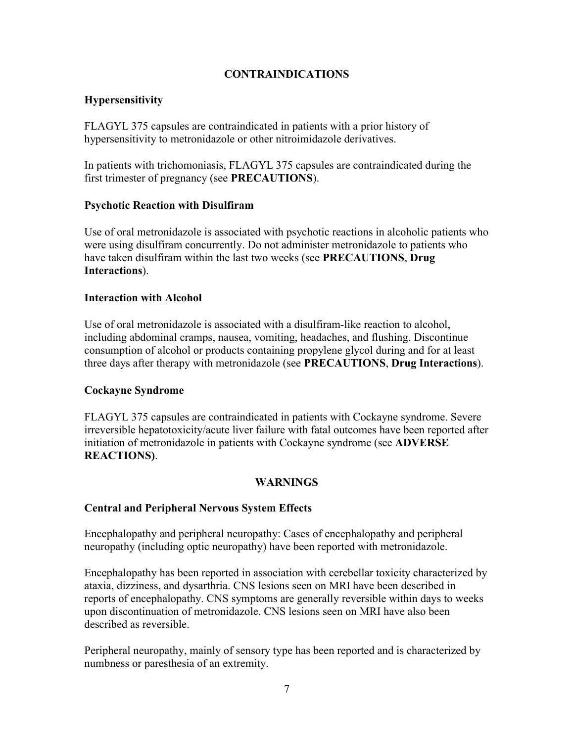# **CONTRAINDICATIONS**

## **Hypersensitivity**

FLAGYL 375 capsules are contraindicated in patients with a prior history of hypersensitivity to metronidazole or other nitroimidazole derivatives.

In patients with trichomoniasis, FLAGYL 375 capsules are contraindicated during the first trimester of pregnancy (see **PRECAUTIONS**).

## **Psychotic Reaction with Disulfiram**

Use of oral metronidazole is associated with psychotic reactions in alcoholic patients who were using disulfiram concurrently. Do not administer metronidazole to patients who have taken disulfiram within the last two weeks (see **PRECAUTIONS**, **Drug Interactions**).

#### **Interaction with Alcohol**

Use of oral metronidazole is associated with a disulfiram-like reaction to alcohol, including abdominal cramps, nausea, vomiting, headaches, and flushing. Discontinue consumption of alcohol or products containing propylene glycol during and for at least three days after therapy with metronidazole (see **PRECAUTIONS**, **Drug Interactions**).

## **Cockayne Syndrome**

FLAGYL 375 capsules are contraindicated in patients with Cockayne syndrome. Severe irreversible hepatotoxicity/acute liver failure with fatal outcomes have been reported after initiation of metronidazole in patients with Cockayne syndrome (see **ADVERSE REACTIONS)**.

# **WARNINGS**

## **Central and Peripheral Nervous System Effects**

Encephalopathy and peripheral neuropathy: Cases of encephalopathy and peripheral neuropathy (including optic neuropathy) have been reported with metronidazole.

Encephalopathy has been reported in association with cerebellar toxicity characterized by ataxia, dizziness, and dysarthria. CNS lesions seen on MRI have been described in reports of encephalopathy. CNS symptoms are generally reversible within days to weeks upon discontinuation of metronidazole. CNS lesions seen on MRI have also been described as reversible.

Peripheral neuropathy, mainly of sensory type has been reported and is characterized by numbness or paresthesia of an extremity.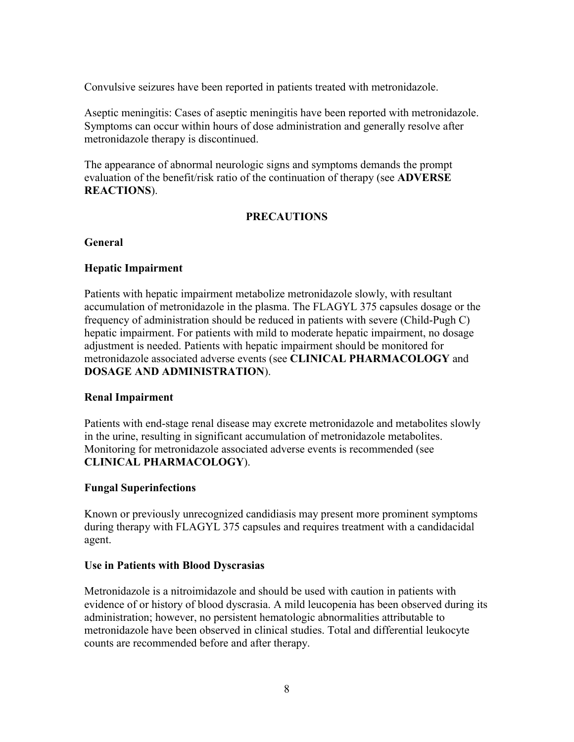Convulsive seizures have been reported in patients treated with metronidazole.

Aseptic meningitis: Cases of aseptic meningitis have been reported with metronidazole. Symptoms can occur within hours of dose administration and generally resolve after metronidazole therapy is discontinued.

The appearance of abnormal neurologic signs and symptoms demands the prompt evaluation of the benefit/risk ratio of the continuation of therapy (see **ADVERSE REACTIONS**).

# **PRECAUTIONS**

## **General**

## **Hepatic Impairment**

Patients with hepatic impairment metabolize metronidazole slowly, with resultant accumulation of metronidazole in the plasma. The FLAGYL 375 capsules dosage or the frequency of administration should be reduced in patients with severe (Child-Pugh C) hepatic impairment. For patients with mild to moderate hepatic impairment, no dosage adjustment is needed. Patients with hepatic impairment should be monitored for metronidazole associated adverse events (see **CLINICAL PHARMACOLOGY** and **DOSAGE AND ADMINISTRATION**).

# **Renal Impairment**

Patients with end-stage renal disease may excrete metronidazole and metabolites slowly in the urine, resulting in significant accumulation of metronidazole metabolites. Monitoring for metronidazole associated adverse events is recommended (see **CLINICAL PHARMACOLOGY**).

# **Fungal Superinfections**

Known or previously unrecognized candidiasis may present more prominent symptoms during therapy with FLAGYL 375 capsules and requires treatment with a candidacidal agent.

## **Use in Patients with Blood Dyscrasias**

Metronidazole is a nitroimidazole and should be used with caution in patients with evidence of or history of blood dyscrasia. A mild leucopenia has been observed during its administration; however, no persistent hematologic abnormalities attributable to metronidazole have been observed in clinical studies. Total and differential leukocyte counts are recommended before and after therapy.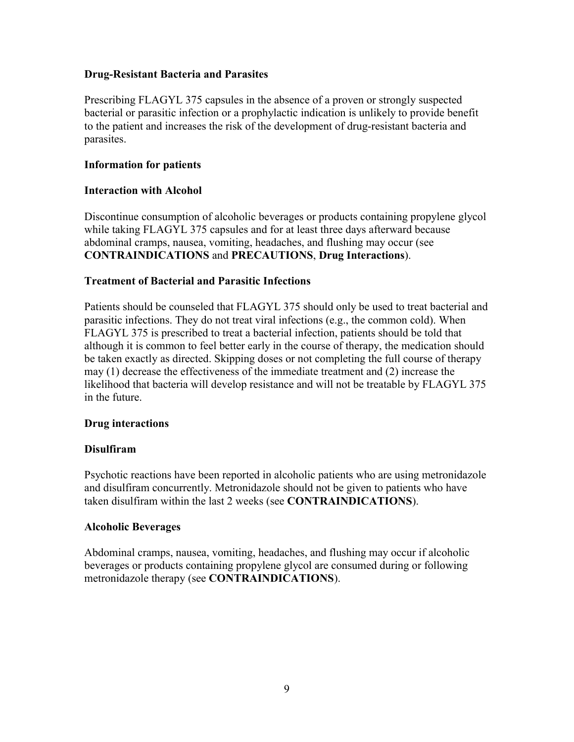## **Drug-Resistant Bacteria and Parasites**

Prescribing FLAGYL 375 capsules in the absence of a proven or strongly suspected bacterial or parasitic infection or a prophylactic indication is unlikely to provide benefit to the patient and increases the risk of the development of drug-resistant bacteria and parasites.

## **Information for patients**

## **Interaction with Alcohol**

Discontinue consumption of alcoholic beverages or products containing propylene glycol while taking FLAGYL 375 capsules and for at least three days afterward because abdominal cramps, nausea, vomiting, headaches, and flushing may occur (see **CONTRAINDICATIONS** and **PRECAUTIONS**, **Drug Interactions**).

## **Treatment of Bacterial and Parasitic Infections**

Patients should be counseled that FLAGYL 375 should only be used to treat bacterial and parasitic infections. They do not treat viral infections (e.g., the common cold). When FLAGYL 375 is prescribed to treat a bacterial infection, patients should be told that although it is common to feel better early in the course of therapy, the medication should be taken exactly as directed. Skipping doses or not completing the full course of therapy may (1) decrease the effectiveness of the immediate treatment and (2) increase the likelihood that bacteria will develop resistance and will not be treatable by FLAGYL 375 in the future.

## **Drug interactions**

## **Disulfiram**

Psychotic reactions have been reported in alcoholic patients who are using metronidazole and disulfiram concurrently. Metronidazole should not be given to patients who have taken disulfiram within the last 2 weeks (see **CONTRAINDICATIONS**).

## **Alcoholic Beverages**

Abdominal cramps, nausea, vomiting, headaches, and flushing may occur if alcoholic beverages or products containing propylene glycol are consumed during or following metronidazole therapy (see **CONTRAINDICATIONS**).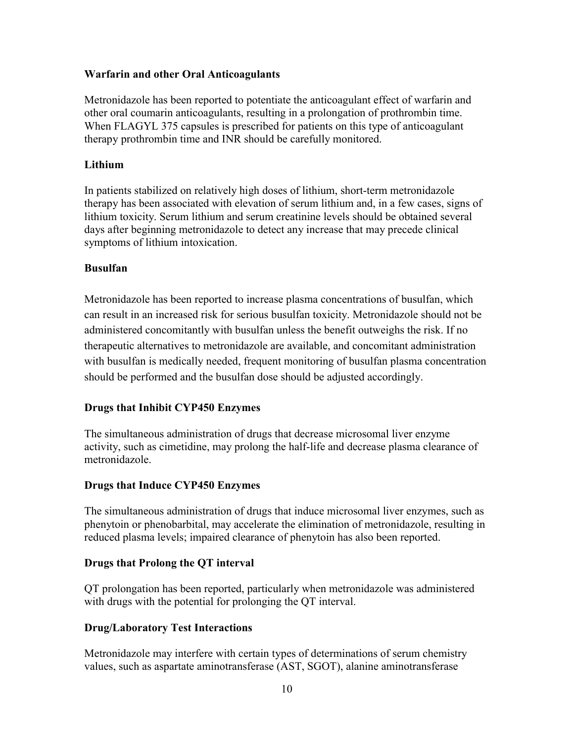## **Warfarin and other Oral Anticoagulants**

Metronidazole has been reported to potentiate the anticoagulant effect of warfarin and other oral coumarin anticoagulants, resulting in a prolongation of prothrombin time. When FLAGYL 375 capsules is prescribed for patients on this type of anticoagulant therapy prothrombin time and INR should be carefully monitored.

## **Lithium**

In patients stabilized on relatively high doses of lithium, short-term metronidazole therapy has been associated with elevation of serum lithium and, in a few cases, signs of lithium toxicity. Serum lithium and serum creatinine levels should be obtained several days after beginning metronidazole to detect any increase that may precede clinical symptoms of lithium intoxication.

## **Busulfan**

Metronidazole has been reported to increase plasma concentrations of busulfan, which can result in an increased risk for serious busulfan toxicity. Metronidazole should not be administered concomitantly with busulfan unless the benefit outweighs the risk. If no therapeutic alternatives to metronidazole are available, and concomitant administration with busulfan is medically needed, frequent monitoring of busulfan plasma concentration should be performed and the busulfan dose should be adjusted accordingly.

# **Drugs that Inhibit CYP450 Enzymes**

The simultaneous administration of drugs that decrease microsomal liver enzyme activity, such as cimetidine, may prolong the half-life and decrease plasma clearance of metronidazole.

## **Drugs that Induce CYP450 Enzymes**

The simultaneous administration of drugs that induce microsomal liver enzymes, such as phenytoin or phenobarbital, may accelerate the elimination of metronidazole, resulting in reduced plasma levels; impaired clearance of phenytoin has also been reported.

# **Drugs that Prolong the QT interval**

QT prolongation has been reported, particularly when metronidazole was administered with drugs with the potential for prolonging the QT interval.

# **Drug/Laboratory Test Interactions**

Metronidazole may interfere with certain types of determinations of serum chemistry values, such as aspartate aminotransferase (AST, SGOT), alanine aminotransferase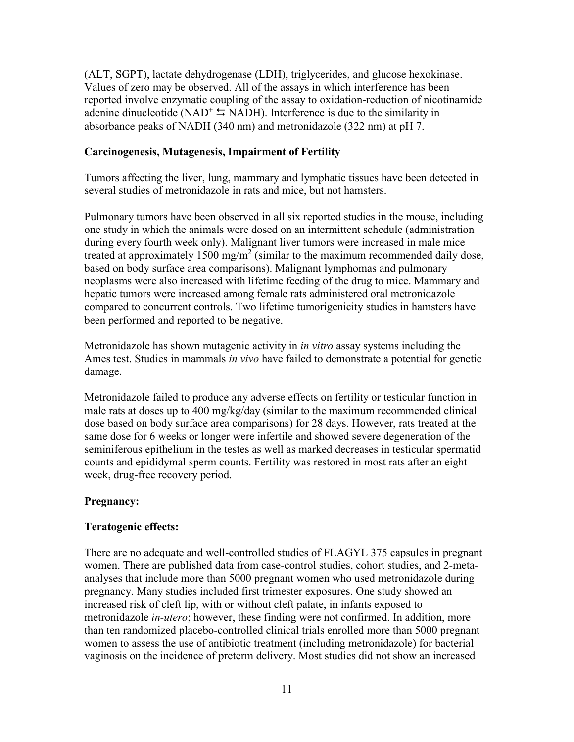(ALT, SGPT), lactate dehydrogenase (LDH), triglycerides, and glucose hexokinase. Values of zero may be observed. All of the assays in which interference has been reported involve enzymatic coupling of the assay to oxidation-reduction of nicotinamide adenine dinucleotide (NAD<sup>+</sup>  $\leq$  NADH). Interference is due to the similarity in absorbance peaks of NADH (340 nm) and metronidazole (322 nm) at pH 7.

#### **Carcinogenesis, Mutagenesis, Impairment of Fertility**

Tumors affecting the liver, lung, mammary and lymphatic tissues have been detected in several studies of metronidazole in rats and mice, but not hamsters.

Pulmonary tumors have been observed in all six reported studies in the mouse, including one study in which the animals were dosed on an intermittent schedule (administration during every fourth week only). Malignant liver tumors were increased in male mice treated at approximately 1500 mg/m<sup>2</sup> (similar to the maximum recommended daily dose, based on body surface area comparisons). Malignant lymphomas and pulmonary neoplasms were also increased with lifetime feeding of the drug to mice. Mammary and hepatic tumors were increased among female rats administered oral metronidazole compared to concurrent controls. Two lifetime tumorigenicity studies in hamsters have been performed and reported to be negative.

Metronidazole has shown mutagenic activity in *in vitro* assay systems including the Ames test. Studies in mammals *in vivo* have failed to demonstrate a potential for genetic damage.

Metronidazole failed to produce any adverse effects on fertility or testicular function in male rats at doses up to 400 mg/kg/day (similar to the maximum recommended clinical dose based on body surface area comparisons) for 28 days. However, rats treated at the same dose for 6 weeks or longer were infertile and showed severe degeneration of the seminiferous epithelium in the testes as well as marked decreases in testicular spermatid counts and epididymal sperm counts. Fertility was restored in most rats after an eight week, drug-free recovery period.

#### **Pregnancy:**

#### **Teratogenic effects:**

There are no adequate and well-controlled studies of FLAGYL 375 capsules in pregnant women. There are published data from case-control studies, cohort studies, and 2-metaanalyses that include more than 5000 pregnant women who used metronidazole during pregnancy. Many studies included first trimester exposures. One study showed an increased risk of cleft lip, with or without cleft palate, in infants exposed to metronidazole *in-utero*; however, these finding were not confirmed. In addition, more than ten randomized placebo-controlled clinical trials enrolled more than 5000 pregnant women to assess the use of antibiotic treatment (including metronidazole) for bacterial vaginosis on the incidence of preterm delivery. Most studies did not show an increased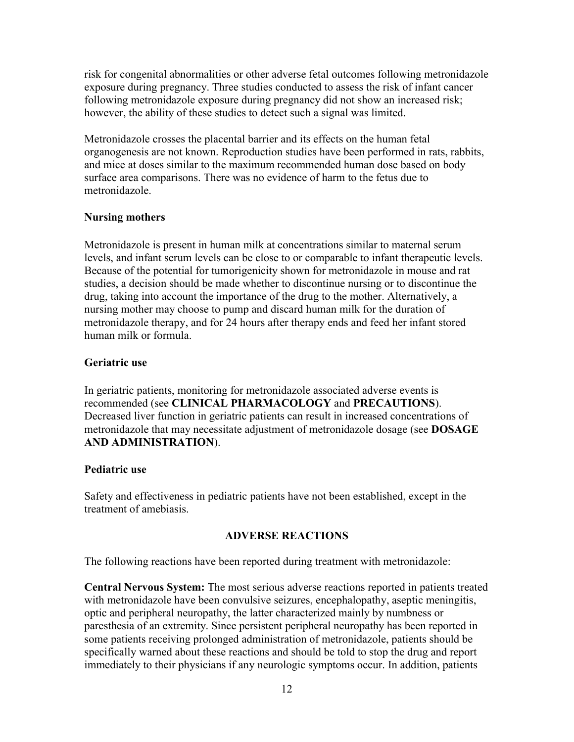risk for congenital abnormalities or other adverse fetal outcomes following metronidazole exposure during pregnancy. Three studies conducted to assess the risk of infant cancer following metronidazole exposure during pregnancy did not show an increased risk; however, the ability of these studies to detect such a signal was limited.

Metronidazole crosses the placental barrier and its effects on the human fetal organogenesis are not known. Reproduction studies have been performed in rats, rabbits, and mice at doses similar to the maximum recommended human dose based on body surface area comparisons. There was no evidence of harm to the fetus due to metronidazole.

## **Nursing mothers**

Metronidazole is present in human milk at concentrations similar to maternal serum levels, and infant serum levels can be close to or comparable to infant therapeutic levels. Because of the potential for tumorigenicity shown for metronidazole in mouse and rat studies, a decision should be made whether to discontinue nursing or to discontinue the drug, taking into account the importance of the drug to the mother. Alternatively, a nursing mother may choose to pump and discard human milk for the duration of metronidazole therapy, and for 24 hours after therapy ends and feed her infant stored human milk or formula.

## **Geriatric use**

In geriatric patients, monitoring for metronidazole associated adverse events is recommended (see **CLINICAL PHARMACOLOGY** and **PRECAUTIONS**). Decreased liver function in geriatric patients can result in increased concentrations of metronidazole that may necessitate adjustment of metronidazole dosage (see **DOSAGE AND ADMINISTRATION**).

## **Pediatric use**

Safety and effectiveness in pediatric patients have not been established, except in the treatment of amebiasis.

# **ADVERSE REACTIONS**

The following reactions have been reported during treatment with metronidazole:

**Central Nervous System:** The most serious adverse reactions reported in patients treated with metronidazole have been convulsive seizures, encephalopathy, aseptic meningitis, optic and peripheral neuropathy, the latter characterized mainly by numbness or paresthesia of an extremity. Since persistent peripheral neuropathy has been reported in some patients receiving prolonged administration of metronidazole, patients should be specifically warned about these reactions and should be told to stop the drug and report immediately to their physicians if any neurologic symptoms occur. In addition, patients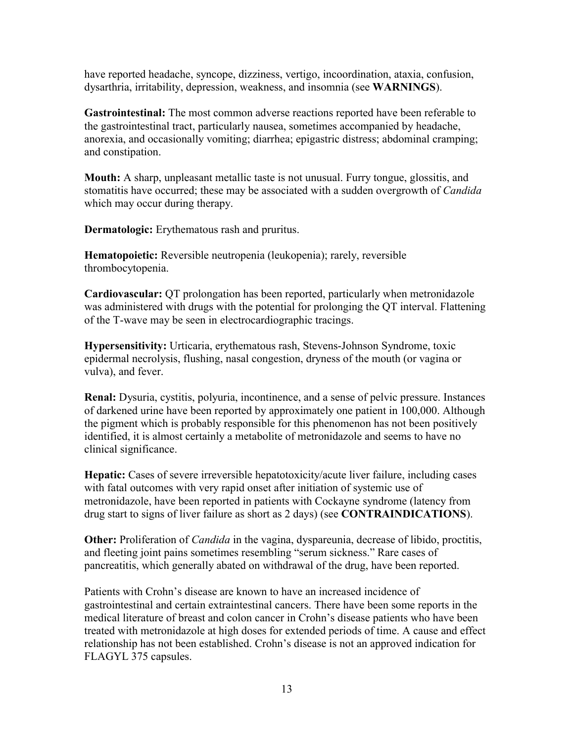have reported headache, syncope, dizziness, vertigo, incoordination, ataxia, confusion, dysarthria, irritability, depression, weakness, and insomnia (see **WARNINGS**).

**Gastrointestinal:** The most common adverse reactions reported have been referable to the gastrointestinal tract, particularly nausea, sometimes accompanied by headache, anorexia, and occasionally vomiting; diarrhea; epigastric distress; abdominal cramping; and constipation.

**Mouth:** A sharp, unpleasant metallic taste is not unusual. Furry tongue, glossitis, and stomatitis have occurred; these may be associated with a sudden overgrowth of *Candida*  which may occur during therapy.

**Dermatologic:** Erythematous rash and pruritus.

**Hematopoietic:** Reversible neutropenia (leukopenia); rarely, reversible thrombocytopenia.

**Cardiovascular:** QT prolongation has been reported, particularly when metronidazole was administered with drugs with the potential for prolonging the QT interval. Flattening of the T-wave may be seen in electrocardiographic tracings.

**Hypersensitivity:** Urticaria, erythematous rash, Stevens-Johnson Syndrome, toxic epidermal necrolysis, flushing, nasal congestion, dryness of the mouth (or vagina or vulva), and fever.

**Renal:** Dysuria, cystitis, polyuria, incontinence, and a sense of pelvic pressure. Instances of darkened urine have been reported by approximately one patient in 100,000. Although the pigment which is probably responsible for this phenomenon has not been positively identified, it is almost certainly a metabolite of metronidazole and seems to have no clinical significance.

**Hepatic:** Cases of severe irreversible hepatotoxicity/acute liver failure, including cases with fatal outcomes with very rapid onset after initiation of systemic use of metronidazole, have been reported in patients with Cockayne syndrome (latency from drug start to signs of liver failure as short as 2 days) (see **CONTRAINDICATIONS**).

**Other:** Proliferation of *Candida* in the vagina, dyspareunia, decrease of libido, proctitis, and fleeting joint pains sometimes resembling "serum sickness." Rare cases of pancreatitis, which generally abated on withdrawal of the drug, have been reported.

Patients with Crohn's disease are known to have an increased incidence of gastrointestinal and certain extraintestinal cancers. There have been some reports in the medical literature of breast and colon cancer in Crohn's disease patients who have been treated with metronidazole at high doses for extended periods of time. A cause and effect relationship has not been established. Crohn's disease is not an approved indication for FLAGYL 375 capsules.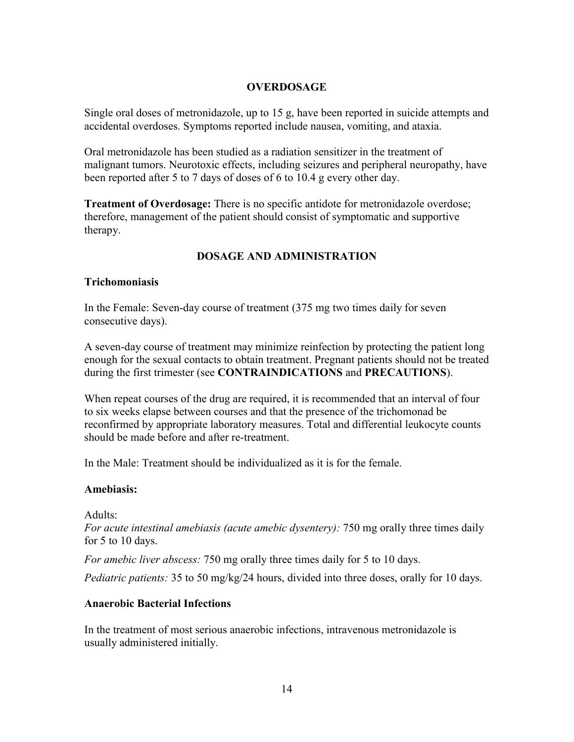## **OVERDOSAGE**

Single oral doses of metronidazole, up to 15 g, have been reported in suicide attempts and accidental overdoses. Symptoms reported include nausea, vomiting, and ataxia.

Oral metronidazole has been studied as a radiation sensitizer in the treatment of malignant tumors. Neurotoxic effects, including seizures and peripheral neuropathy, have been reported after 5 to 7 days of doses of 6 to 10.4 g every other day.

**Treatment of Overdosage:** There is no specific antidote for metronidazole overdose; therefore, management of the patient should consist of symptomatic and supportive therapy.

# **DOSAGE AND ADMINISTRATION**

## **Trichomoniasis**

In the Female: Seven-day course of treatment (375 mg two times daily for seven consecutive days).

A seven-day course of treatment may minimize reinfection by protecting the patient long enough for the sexual contacts to obtain treatment. Pregnant patients should not be treated during the first trimester (see **CONTRAINDICATIONS** and **PRECAUTIONS**).

When repeat courses of the drug are required, it is recommended that an interval of four to six weeks elapse between courses and that the presence of the trichomonad be reconfirmed by appropriate laboratory measures. Total and differential leukocyte counts should be made before and after re-treatment.

In the Male: Treatment should be individualized as it is for the female.

## **Amebiasis:**

Adults:

*For acute intestinal amebiasis (acute amebic dysentery):* 750 mg orally three times daily for 5 to 10 days.

*For amebic liver abscess:* 750 mg orally three times daily for 5 to 10 days.

*Pediatric patients:* 35 to 50 mg/kg/24 hours, divided into three doses, orally for 10 days.

# **Anaerobic Bacterial Infections**

In the treatment of most serious anaerobic infections, intravenous metronidazole is usually administered initially.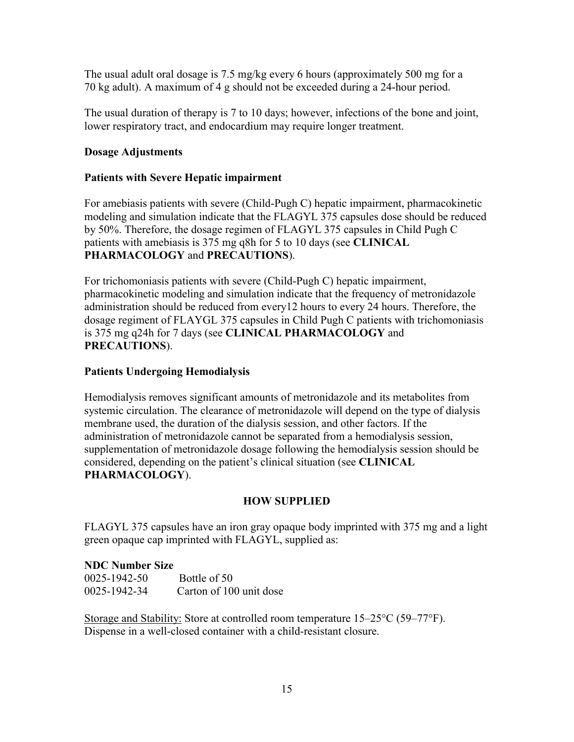The usual adult oral dosage is 7.5 mg/kg every 6 hours (approximately 500 mg for a 70 kg adult). A maximum of 4 g should not be exceeded during a 24-hour period.

The usual duration of therapy is 7 to 10 days; however, infections of the bone and joint, lower respiratory tract, and endocardium may require longer treatment.

# **Dosage Adjustments**

# **Patients with Severe Hepatic impairment**

For amebiasis patients with severe (Child-Pugh C) hepatic impairment, pharmacokinetic modeling and simulation indicate that the FLAGYL 375 capsules dose should be reduced by 50%. Therefore, the dosage regimen of FLAGYL 375 capsules in Child Pugh C patients with amebiasis is 375 mg q8h for 5 to 10 days (see **CLINICAL PHARMACOLOGY** and **PRECAUTIONS**).

For trichomoniasis patients with severe (Child-Pugh C) hepatic impairment, pharmacokinetic modeling and simulation indicate that the frequency of metronidazole administration should be reduced from every12 hours to every 24 hours. Therefore, the dosage regiment of FLAYGL 375 capsules in Child Pugh C patients with trichomoniasis is 375 mg q24h for 7 days (see **CLINICAL PHARMACOLOGY** and **PRECAUTIONS**).

# **Patients Undergoing Hemodialysis**

Hemodialysis removes significant amounts of metronidazole and its metabolites from systemic circulation. The clearance of metronidazole will depend on the type of dialysis membrane used, the duration of the dialysis session, and other factors. If the administration of metronidazole cannot be separated from a hemodialysis session, supplementation of metronidazole dosage following the hemodialysis session should be considered, depending on the patient's clinical situation (see **CLINICAL PHARMACOLOGY**).

# **HOW SUPPLIED**

FLAGYL 375 capsules have an iron gray opaque body imprinted with 375 mg and a light green opaque cap imprinted with FLAGYL, supplied as:

# **NDC Number Size**

| 0025-1942-50 | Bottle of 50            |
|--------------|-------------------------|
| 0025-1942-34 | Carton of 100 unit dose |

Storage and Stability: Store at controlled room temperature 15–25°C (59–77°F). Dispense in a well-closed container with a child-resistant closure.